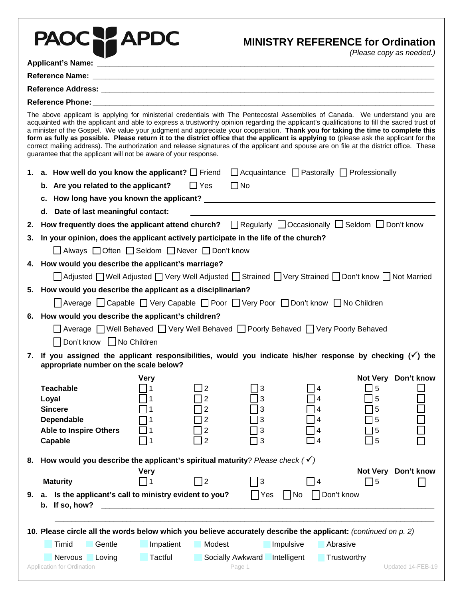|    | PAOCH APDC                                                                                                                                                                                                                                                                                                                                                                                                                                                                                                                                                                                                                                                                                                                                                                 |                                                                                           |                |                            |             | <b>MINISTRY REFERENCE for Ordination</b> | (Please copy as needed.) |  |  |
|----|----------------------------------------------------------------------------------------------------------------------------------------------------------------------------------------------------------------------------------------------------------------------------------------------------------------------------------------------------------------------------------------------------------------------------------------------------------------------------------------------------------------------------------------------------------------------------------------------------------------------------------------------------------------------------------------------------------------------------------------------------------------------------|-------------------------------------------------------------------------------------------|----------------|----------------------------|-------------|------------------------------------------|--------------------------|--|--|
|    |                                                                                                                                                                                                                                                                                                                                                                                                                                                                                                                                                                                                                                                                                                                                                                            |                                                                                           |                |                            |             |                                          |                          |  |  |
|    |                                                                                                                                                                                                                                                                                                                                                                                                                                                                                                                                                                                                                                                                                                                                                                            |                                                                                           |                |                            |             |                                          |                          |  |  |
|    |                                                                                                                                                                                                                                                                                                                                                                                                                                                                                                                                                                                                                                                                                                                                                                            |                                                                                           |                |                            |             |                                          |                          |  |  |
|    |                                                                                                                                                                                                                                                                                                                                                                                                                                                                                                                                                                                                                                                                                                                                                                            |                                                                                           |                |                            |             |                                          |                          |  |  |
|    | The above applicant is applying for ministerial credentials with The Pentecostal Assemblies of Canada. We understand you are<br>acquainted with the applicant and able to express a trustworthy opinion regarding the applicant's qualifications to fill the sacred trust of<br>a minister of the Gospel. We value your judgment and appreciate your cooperation. Thank you for taking the time to complete this<br>form as fully as possible. Please return it to the district office that the applicant is applying to (please ask the applicant for the<br>correct mailing address). The authorization and release signatures of the applicant and spouse are on file at the district office. These<br>guarantee that the applicant will not be aware of your response. |                                                                                           |                |                            |             |                                          |                          |  |  |
|    | 1. a. How well do you know the applicant? $\Box$ Friend $\Box$ Acquaintance $\Box$ Pastorally $\Box$ Professionally                                                                                                                                                                                                                                                                                                                                                                                                                                                                                                                                                                                                                                                        |                                                                                           |                |                            |             |                                          |                          |  |  |
|    | b. Are you related to the applicant? $\Box$ Yes $\Box$ No                                                                                                                                                                                                                                                                                                                                                                                                                                                                                                                                                                                                                                                                                                                  |                                                                                           |                |                            |             |                                          |                          |  |  |
|    |                                                                                                                                                                                                                                                                                                                                                                                                                                                                                                                                                                                                                                                                                                                                                                            |                                                                                           |                |                            |             |                                          |                          |  |  |
|    | d. Date of last meaningful contact:                                                                                                                                                                                                                                                                                                                                                                                                                                                                                                                                                                                                                                                                                                                                        |                                                                                           |                |                            |             |                                          |                          |  |  |
| 2. | How frequently does the applicant attend church?<br><del> </del> <b>Example 20</b> Regularly<br><br>□ Occasionally<br>□ Seldom<br>□ Don't know                                                                                                                                                                                                                                                                                                                                                                                                                                                                                                                                                                                                                             |                                                                                           |                |                            |             |                                          |                          |  |  |
| 3. | In your opinion, does the applicant actively participate in the life of the church?                                                                                                                                                                                                                                                                                                                                                                                                                                                                                                                                                                                                                                                                                        |                                                                                           |                |                            |             |                                          |                          |  |  |
|    |                                                                                                                                                                                                                                                                                                                                                                                                                                                                                                                                                                                                                                                                                                                                                                            | □ Always □ Often □ Seldom □ Never □ Don't know                                            |                |                            |             |                                          |                          |  |  |
|    | 4. How would you describe the applicant's marriage?                                                                                                                                                                                                                                                                                                                                                                                                                                                                                                                                                                                                                                                                                                                        |                                                                                           |                |                            |             |                                          |                          |  |  |
|    |                                                                                                                                                                                                                                                                                                                                                                                                                                                                                                                                                                                                                                                                                                                                                                            | △ Adjusted Well Adjusted Very Well Adjusted Strained Very Strained Don't know Not Married |                |                            |             |                                          |                          |  |  |
|    | 5. How would you describe the applicant as a disciplinarian?                                                                                                                                                                                                                                                                                                                                                                                                                                                                                                                                                                                                                                                                                                               |                                                                                           |                |                            |             |                                          |                          |  |  |
|    |                                                                                                                                                                                                                                                                                                                                                                                                                                                                                                                                                                                                                                                                                                                                                                            | Average   Capable   Very Capable   Poor   Very Poor   Don't know   No Children            |                |                            |             |                                          |                          |  |  |
|    | 6. How would you describe the applicant's children?                                                                                                                                                                                                                                                                                                                                                                                                                                                                                                                                                                                                                                                                                                                        |                                                                                           |                |                            |             |                                          |                          |  |  |
|    |                                                                                                                                                                                                                                                                                                                                                                                                                                                                                                                                                                                                                                                                                                                                                                            | □ Average □ Well Behaved □ Very Well Behaved □ Poorly Behaved □ Very Poorly Behaved       |                |                            |             |                                          |                          |  |  |
|    | Don't know No Children<br>7. If you assigned the applicant responsibilities, would you indicate his/her response by checking $(\check{ } )$ the                                                                                                                                                                                                                                                                                                                                                                                                                                                                                                                                                                                                                            |                                                                                           |                |                            |             |                                          |                          |  |  |
|    | appropriate number on the scale below?                                                                                                                                                                                                                                                                                                                                                                                                                                                                                                                                                                                                                                                                                                                                     |                                                                                           |                |                            |             |                                          |                          |  |  |
|    |                                                                                                                                                                                                                                                                                                                                                                                                                                                                                                                                                                                                                                                                                                                                                                            | <b>Very</b>                                                                               |                |                            |             |                                          | Not Very Don't know      |  |  |
|    | <b>Teachable</b><br>Loyal                                                                                                                                                                                                                                                                                                                                                                                                                                                                                                                                                                                                                                                                                                                                                  |                                                                                           | 2<br>2         | 3<br>3                     |             | 5 ل<br>5                                 |                          |  |  |
|    | <b>Sincere</b>                                                                                                                                                                                                                                                                                                                                                                                                                                                                                                                                                                                                                                                                                                                                                             |                                                                                           | 2              | 3                          |             | 5                                        |                          |  |  |
|    | Dependable                                                                                                                                                                                                                                                                                                                                                                                                                                                                                                                                                                                                                                                                                                                                                                 |                                                                                           | $\overline{2}$ | 3                          |             | 5                                        |                          |  |  |
|    | <b>Able to Inspire Others</b>                                                                                                                                                                                                                                                                                                                                                                                                                                                                                                                                                                                                                                                                                                                                              |                                                                                           |                |                            |             | 5                                        |                          |  |  |
|    | Capable                                                                                                                                                                                                                                                                                                                                                                                                                                                                                                                                                                                                                                                                                                                                                                    | <u> 11</u>                                                                                | 2              | 3                          |             | ]5                                       |                          |  |  |
| 8. | How would you describe the applicant's spiritual maturity? Please check $(\checkmark)$                                                                                                                                                                                                                                                                                                                                                                                                                                                                                                                                                                                                                                                                                     |                                                                                           |                |                            |             |                                          |                          |  |  |
|    | <b>Maturity</b>                                                                                                                                                                                                                                                                                                                                                                                                                                                                                                                                                                                                                                                                                                                                                            | <b>Very</b><br>- 11                                                                       | $\vert$ 2      | 3                          | $\Box$ 4    | <b>Not Very</b><br>75                    | Don't know               |  |  |
| 9. | a. Is the applicant's call to ministry evident to you?<br>b. If so, how?                                                                                                                                                                                                                                                                                                                                                                                                                                                                                                                                                                                                                                                                                                   |                                                                                           |                | Yes                        | No          | Don't know                               |                          |  |  |
|    | 10. Please circle all the words below which you believe accurately describe the applicant: (continued on p. 2)                                                                                                                                                                                                                                                                                                                                                                                                                                                                                                                                                                                                                                                             |                                                                                           |                |                            |             |                                          |                          |  |  |
|    | Timid<br>Gentle                                                                                                                                                                                                                                                                                                                                                                                                                                                                                                                                                                                                                                                                                                                                                            | Impatient                                                                                 | Modest         |                            | Impulsive   | Abrasive                                 |                          |  |  |
|    | Nervous                                                                                                                                                                                                                                                                                                                                                                                                                                                                                                                                                                                                                                                                                                                                                                    | <b>Tactful</b>                                                                            |                |                            |             |                                          |                          |  |  |
|    | Loving<br>Application for Ordination                                                                                                                                                                                                                                                                                                                                                                                                                                                                                                                                                                                                                                                                                                                                       |                                                                                           |                | Socially Awkward<br>Page 1 | Intelligent | Trustworthy                              | Updated 14-FEB-19        |  |  |